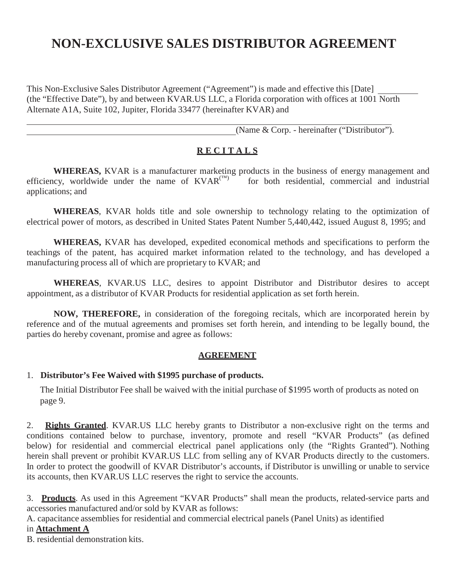# **NON-EXCLUSIVE SALES DISTRIBUTOR AGREEMENT**

This Non-Exclusive Sales Distributor Agreement ("Agreement") is made and effective this [Date] (the "Effective Date"), by and between KVAR.US LLC, a Florida corporation with offices at 1001 North Alternate A1A, Suite 102, Jupiter, Florida 33477 (hereinafter KVAR) and

(Name & Corp. - hereinafter ("Distributor").

#### **R E C I T A L S**

**WHEREAS,** KVAR is a manufacturer marketing products in the business of energy management and incy, worldwide under the name of KVAR<sup>(TM)</sup> for both residential, commercial and industrial efficiency, worldwide under the name of  $KVAR^{(TM)}$ applications; and

**WHEREAS**, KVAR holds title and sole ownership to technology relating to the optimization of electrical power of motors, as described in United States Patent Number 5,440,442, issued August 8, 1995; and

**WHEREAS,** KVAR has developed, expedited economical methods and specifications to perform the teachings of the patent, has acquired market information related to the technology, and has developed a manufacturing process all of which are proprietary to KVAR; and

**WHEREAS**, KVAR.US LLC, desires to appoint Distributor and Distributor desires to accept appointment, as a distributor of KVAR Products for residential application as set forth herein.

**NOW, THEREFORE,** in consideration of the foregoing recitals, which are incorporated herein by reference and of the mutual agreements and promises set forth herein, and intending to be legally bound, the parties do hereby covenant, promise and agree as follows:

#### **AGREEMENT**

#### 1. **Distributor's Fee Waived with \$1995 purchase of products.**

The Initial Distributor Fee shall be waived with the initial purchase of \$1995 worth of products as noted on page 9.

2. **Rights Granted**. KVAR.US LLC hereby grants to Distributor a non-exclusive right on the terms and conditions contained below to purchase, inventory, promote and resell "KVAR Products" (as defined below) for residential and commercial electrical panel applications only (the "Rights Granted"). Nothing herein shall prevent or prohibit KVAR.US LLC from selling any of KVAR Products directly to the customers. In order to protect the goodwill of KVAR Distributor's accounts, if Distributor is unwilling or unable to service its accounts, then KVAR.US LLC reserves the right to service the accounts.

3. **Products**. As used in this Agreement "KVAR Products" shall mean the products, related-service parts and accessories manufactured and/or sold by KVAR as follows:

A. capacitance assemblies for residential and commercial electrical panels (Panel Units) as identified

#### in **Attachment A**

B. residential demonstration kits.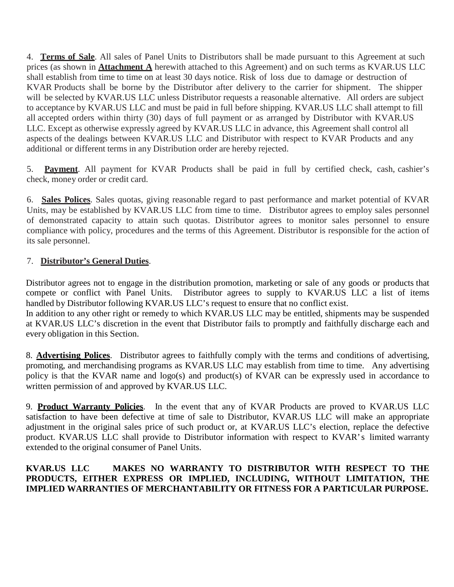4. **Terms of Sale**. All sales of Panel Units to Distributors shall be made pursuant to this Agreement at such prices (as shown in **Attachment A** herewith attached to this Agreement) and on such terms as KVAR.US LLC shall establish from time to time on at least 30 days notice. Risk of loss due to damage or destruction of KVAR Products shall be borne by the Distributor after delivery to the carrier for shipment. The shipper will be selected by KVAR.US LLC unless Distributor requests a reasonable alternative. All orders are subject to acceptance by KVAR.US LLC and must be paid in full before shipping. KVAR.US LLC shall attempt to fill all accepted orders within thirty (30) days of full payment or as arranged by Distributor with KVAR.US LLC. Except as otherwise expressly agreed by KVAR.US LLC in advance, this Agreement shall control all aspects of the dealings between KVAR.US LLC and Distributor with respect to KVAR Products and any additional or different terms in any Distribution order are hereby rejected.

5. **Payment**. All payment for KVAR Products shall be paid in full by certified check, cash, cashier's check, money order or credit card.

6. **Sales Polices**. Sales quotas, giving reasonable regard to past performance and market potential of KVAR Units, may be established by KVAR.US LLC from time to time. Distributor agrees to employ sales personnel of demonstrated capacity to attain such quotas. Distributor agrees to monitor sales personnel to ensure compliance with policy, procedures and the terms of this Agreement. Distributor is responsible for the action of its sale personnel.

#### 7. **Distributor's General Duties**.

Distributor agrees not to engage in the distribution promotion, marketing or sale of any goods or products that compete or conflict with Panel Units. Distributor agrees to supply to KVAR.US LLC a list of items handled by Distributor following KVAR.US LLC's request to ensure that no conflict exist. In addition to any other right or remedy to which KVAR.US LLC may be entitled, shipments may be suspended

at KVAR.US LLC's discretion in the event that Distributor fails to promptly and faithfully discharge each and every obligation in this Section.

8. **Advertising Polices**. Distributor agrees to faithfully comply with the terms and conditions of advertising, promoting, and merchandising programs as KVAR.US LLC may establish from time to time. Any advertising policy is that the KVAR name and logo(s) and product(s) of KVAR can be expressly used in accordance to written permission of and approved by KVAR.US LLC.

9. **Product Warranty Policies**. In the event that any of KVAR Products are proved to KVAR.US LLC satisfaction to have been defective at time of sale to Distributor, KVAR.US LLC will make an appropriate adjustment in the original sales price of such product or, at KVAR.US LLC's election, replace the defective product. KVAR.US LLC shall provide to Distributor information with respect to KVAR's limited warranty extended to the original consumer of Panel Units.

#### **KVAR.US LLC MAKES NO WARRANTY TO DISTRIBUTOR WITH RESPECT TO THE PRODUCTS, EITHER EXPRESS OR IMPLIED, INCLUDING, WITHOUT LIMITATION, THE IMPLIED WARRANTIES OF MERCHANTABILITY OR FITNESS FOR A PARTICULAR PURPOSE.**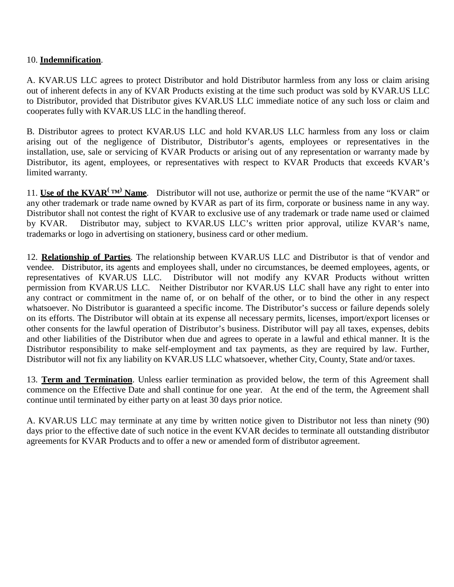#### 10. **Indemnification**.

A. KVAR.US LLC agrees to protect Distributor and hold Distributor harmless from any loss or claim arising out of inherent defects in any of KVAR Products existing at the time such product was sold by KVAR.US LLC to Distributor, provided that Distributor gives KVAR.US LLC immediate notice of any such loss or claim and cooperates fully with KVAR.US LLC in the handling thereof.

B. Distributor agrees to protect KVAR.US LLC and hold KVAR.US LLC harmless from any loss or claim arising out of the negligence of Distributor, Distributor's agents, employees or representatives in the installation, use, sale or servicing of KVAR Products or arising out of any representation or warranty made by Distributor, its agent, employees, or representatives with respect to KVAR Products that exceeds KVAR's limited warranty.

11. **Use of the KVAR<sup>(TM)</sup> Name**. Distributor will not use, authorize or permit the use of the name "KVAR" or any other trademark or trade name owned by KVAR as part of its firm, corporate or business name in any way. Distributor shall not contest the right of KVAR to exclusive use of any trademark or trade name used or claimed by KVAR. Distributor may, subject to KVAR.US LLC's written prior approval, utilize KVAR's name, trademarks or logo in advertising on stationery, business card or other medium.

12. **Relationship of Parties**. The relationship between KVAR.US LLC and Distributor is that of vendor and vendee. Distributor, its agents and employees shall, under no circumstances, be deemed employees, agents, or representatives of KVAR.US LLC. Distributor will not modify any KVAR Products without written permission from KVAR.US LLC. Neither Distributor nor KVAR.US LLC shall have any right to enter into any contract or commitment in the name of, or on behalf of the other, or to bind the other in any respect whatsoever. No Distributor is guaranteed a specific income. The Distributor's success or failure depends solely on its efforts. The Distributor will obtain at its expense all necessary permits, licenses, import/export licenses or other consents for the lawful operation of Distributor's business. Distributor will pay all taxes, expenses, debits and other liabilities of the Distributor when due and agrees to operate in a lawful and ethical manner. It is the Distributor responsibility to make self-employment and tax payments, as they are required by law. Further, Distributor will not fix any liability on KVAR.US LLC whatsoever, whether City, County, State and/or taxes.

13. **Term and Termination**. Unless earlier termination as provided below, the term of this Agreement shall commence on the Effective Date and shall continue for one year. At the end of the term, the Agreement shall continue until terminated by either party on at least 30 days prior notice.

A. KVAR.US LLC may terminate at any time by written notice given to Distributor not less than ninety (90) days prior to the effective date of such notice in the event KVAR decides to terminate all outstanding distributor agreements for KVAR Products and to offer a new or amended form of distributor agreement.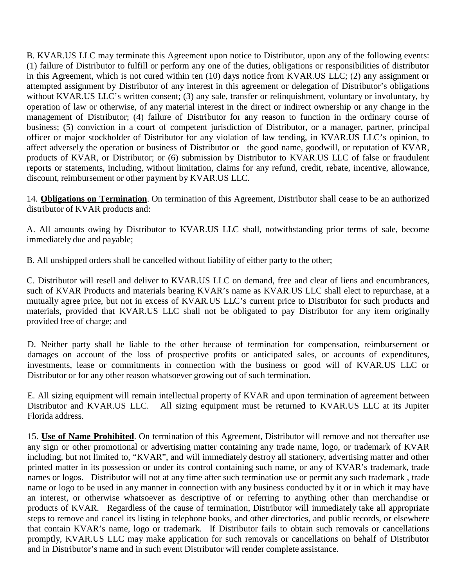B. KVAR.US LLC may terminate this Agreement upon notice to Distributor, upon any of the following events: (1) failure of Distributor to fulfill or perform any one of the duties, obligations or responsibilities of distributor in this Agreement, which is not cured within ten (10) days notice from KVAR.US LLC; (2) any assignment or attempted assignment by Distributor of any interest in this agreement or delegation of Distributor's obligations without KVAR.US LLC's written consent; (3) any sale, transfer or relinquishment, voluntary or involuntary, by operation of law or otherwise, of any material interest in the direct or indirect ownership or any change in the management of Distributor; (4) failure of Distributor for any reason to function in the ordinary course of business; (5) conviction in a court of competent jurisdiction of Distributor, or a manager, partner, principal officer or major stockholder of Distributor for any violation of law tending, in KVAR.US LLC's opinion, to affect adversely the operation or business of Distributor or the good name, goodwill, or reputation of KVAR, products of KVAR, or Distributor; or (6) submission by Distributor to KVAR.US LLC of false or fraudulent reports or statements, including, without limitation, claims for any refund, credit, rebate, incentive, allowance, discount, reimbursement or other payment by KVAR.US LLC.

14. **Obligations on Termination**. On termination of this Agreement, Distributor shall cease to be an authorized distributor of KVAR products and:

A. All amounts owing by Distributor to KVAR.US LLC shall, notwithstanding prior terms of sale, become immediately due and payable;

B. All unshipped orders shall be cancelled without liability of either party to the other;

C. Distributor will resell and deliver to KVAR.US LLC on demand, free and clear of liens and encumbrances, such of KVAR Products and materials bearing KVAR's name as KVAR.US LLC shall elect to repurchase, at a mutually agree price, but not in excess of KVAR.US LLC's current price to Distributor for such products and materials, provided that KVAR.US LLC shall not be obligated to pay Distributor for any item originally provided free of charge; and

D. Neither party shall be liable to the other because of termination for compensation, reimbursement or damages on account of the loss of prospective profits or anticipated sales, or accounts of expenditures, investments, lease or commitments in connection with the business or good will of KVAR.US LLC or Distributor or for any other reason whatsoever growing out of such termination.

E. All sizing equipment will remain intellectual property of KVAR and upon termination of agreement between Distributor and KVAR.US LLC. All sizing equipment must be returned to KVAR.US LLC at its Jupiter Florida address.

15. **Use of Name Prohibited**. On termination of this Agreement, Distributor will remove and not thereafter use any sign or other promotional or advertising matter containing any trade name, logo, or trademark of KVAR including, but not limited to, "KVAR", and will immediately destroy all stationery, advertising matter and other printed matter in its possession or under its control containing such name, or any of KVAR's trademark, trade names or logos. Distributor will not at any time after such termination use or permit any such trademark , trade name or logo to be used in any manner in connection with any business conducted by it or in which it may have an interest, or otherwise whatsoever as descriptive of or referring to anything other than merchandise or products of KVAR. Regardless of the cause of termination, Distributor will immediately take all appropriate steps to remove and cancel its listing in telephone books, and other directories, and public records, or elsewhere that contain KVAR's name, logo or trademark. If Distributor fails to obtain such removals or cancellations promptly, KVAR.US LLC may make application for such removals or cancellations on behalf of Distributor and in Distributor's name and in such event Distributor will render complete assistance.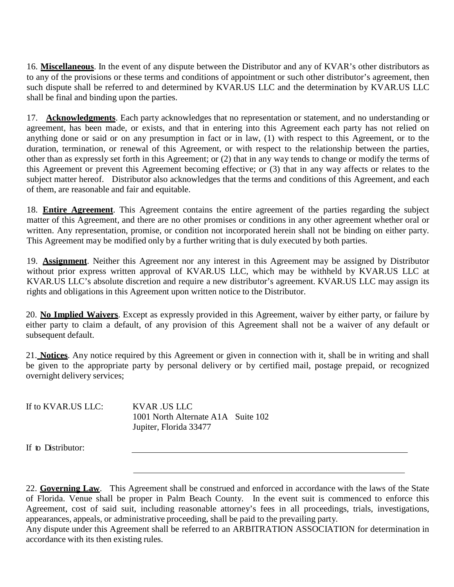16. **Miscellaneous**. In the event of any dispute between the Distributor and any of KVAR's other distributors as to any of the provisions or these terms and conditions of appointment or such other distributor's agreement, then such dispute shall be referred to and determined by KVAR.US LLC and the determination by KVAR.US LLC shall be final and binding upon the parties.

17. **Acknowledgments**. Each party acknowledges that no representation or statement, and no understanding or agreement, has been made, or exists, and that in entering into this Agreement each party has not relied on anything done or said or on any presumption in fact or in law, (1) with respect to this Agreement, or to the duration, termination, or renewal of this Agreement, or with respect to the relationship between the parties, other than as expressly set forth in this Agreement; or (2) that in any way tends to change or modify the terms of this Agreement or prevent this Agreement becoming effective; or (3) that in any way affects or relates to the subject matter hereof. Distributor also acknowledges that the terms and conditions of this Agreement, and each of them, are reasonable and fair and equitable.

18. **Entire Agreement**. This Agreement contains the entire agreement of the parties regarding the subject matter of this Agreement, and there are no other promises or conditions in any other agreement whether oral or written. Any representation, promise, or condition not incorporated herein shall not be binding on either party. This Agreement may be modified only by a further writing that is duly executed by both parties.

19. **Assignment**. Neither this Agreement nor any interest in this Agreement may be assigned by Distributor without prior express written approval of KVAR.US LLC, which may be withheld by KVAR.US LLC at KVAR.US LLC's absolute discretion and require a new distributor's agreement. KVAR.US LLC may assign its rights and obligations in this Agreement upon written notice to the Distributor.

20. **No Implied Waivers**. Except as expressly provided in this Agreement, waiver by either party, or failure by either party to claim a default, of any provision of this Agreement shall not be a waiver of any default or subsequent default.

21. **Notices**. Any notice required by this Agreement or given in connection with it, shall be in writing and shall be given to the appropriate party by personal delivery or by certified mail, postage prepaid, or recognized overnight delivery services;

| If to KVAR.US LLC: | KVAR .US LLC                       |  |
|--------------------|------------------------------------|--|
|                    | 1001 North Alternate A1A Suite 102 |  |
|                    | Jupiter, Florida 33477             |  |

If to Distributor:

22. **Governing Law**. This Agreement shall be construed and enforced in accordance with the laws of the State of Florida. Venue shall be proper in Palm Beach County. In the event suit is commenced to enforce this Agreement, cost of said suit, including reasonable attorney's fees in all proceedings, trials, investigations, appearances, appeals, or administrative proceeding, shall be paid to the prevailing party.

Any dispute under this Agreement shall be referred to an ARBITRATION ASSOCIATION for determination in accordance with its then existing rules.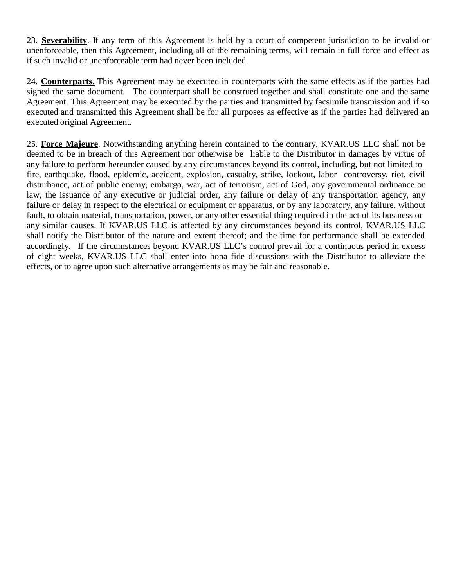23. **Severability**. If any term of this Agreement is held by a court of competent jurisdiction to be invalid or unenforceable, then this Agreement, including all of the remaining terms, will remain in full force and effect as if such invalid or unenforceable term had never been included.

24. **Counterparts.** This Agreement may be executed in counterparts with the same effects as if the parties had signed the same document. The counterpart shall be construed together and shall constitute one and the same Agreement. This Agreement may be executed by the parties and transmitted by facsimile transmission and if so executed and transmitted this Agreement shall be for all purposes as effective as if the parties had delivered an executed original Agreement.

25. **Force Majeure**. Notwithstanding anything herein contained to the contrary, KVAR.US LLC shall not be deemed to be in breach of this Agreement nor otherwise be liable to the Distributor in damages by virtue of any failure to perform hereunder caused by any circumstances beyond its control, including, but not limited to fire, earthquake, flood, epidemic, accident, explosion, casualty, strike, lockout, labor controversy, riot, civil disturbance, act of public enemy, embargo, war, act of terrorism, act of God, any governmental ordinance or law, the issuance of any executive or judicial order, any failure or delay of any transportation agency, any failure or delay in respect to the electrical or equipment or apparatus, or by any laboratory, any failure, without fault, to obtain material, transportation, power, or any other essential thing required in the act of its business or any similar causes. If KVAR.US LLC is affected by any circumstances beyond its control, KVAR.US LLC shall notify the Distributor of the nature and extent thereof; and the time for performance shall be extended accordingly. If the circumstances beyond KVAR.US LLC's control prevail for a continuous period in excess of eight weeks, KVAR.US LLC shall enter into bona fide discussions with the Distributor to alleviate the effects, or to agree upon such alternative arrangements as may be fair and reasonable.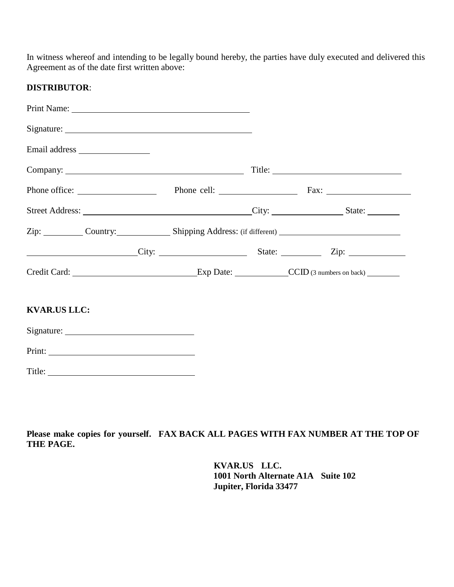In witness whereof and intending to be legally bound hereby, the parties have duly executed and delivered this Agreement as of the date first written above:

#### **DISTRIBUTOR**:

| Zip: Country: Shipping Address: (if different)  |  |  |
|-------------------------------------------------|--|--|
| City: City: State: Zip: Zip:                    |  |  |
| Credit Card: Exp Date: CCID (3 numbers on back) |  |  |
| <b>KVAR.US LLC:</b>                             |  |  |
|                                                 |  |  |
|                                                 |  |  |
|                                                 |  |  |
|                                                 |  |  |

Please make copies for yourself. FAX BACK ALL PAGES WITH FAX NUMBER AT THE TOP OF **THE PAGE.**

> **KVAR.US LLC. 1001 North Alternate A1A Suite 102 Jupiter, Florida 33477**